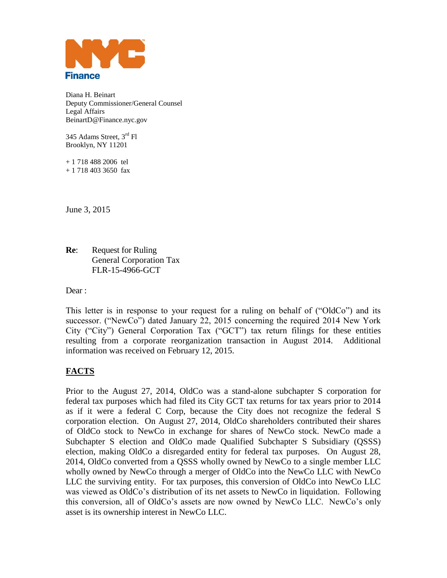

Diana H. Beinart Deputy Commissioner/General Counsel Legal Affairs BeinartD@Finance.nyc.gov

345 Adams Street, 3<sup>rd</sup> Fl Brooklyn, NY 11201

+ 1 718 488 2006 tel + 1 718 403 3650 fax

June 3, 2015

**Readillect** Request for Ruling General Corporation Tax FLR-15-4966-GCT

Dear :

This letter is in response to your request for a ruling on behalf of ("OldCo") and its successor. ("NewCo") dated January 22, 2015 concerning the required 2014 New York City ("City") General Corporation Tax ("GCT") tax return filings for these entities resulting from a corporate reorganization transaction in August 2014. Additional information was received on February 12, 2015.

## **FACTS**

Prior to the August 27, 2014, OldCo was a stand-alone subchapter S corporation for federal tax purposes which had filed its City GCT tax returns for tax years prior to 2014 as if it were a federal C Corp, because the City does not recognize the federal S corporation election. On August 27, 2014, OldCo shareholders contributed their shares of OldCo stock to NewCo in exchange for shares of NewCo stock. NewCo made a Subchapter S election and OldCo made Qualified Subchapter S Subsidiary (QSSS) election, making OldCo a disregarded entity for federal tax purposes. On August 28, 2014, OldCo converted from a QSSS wholly owned by NewCo to a single member LLC wholly owned by NewCo through a merger of OldCo into the NewCo LLC with NewCo LLC the surviving entity. For tax purposes, this conversion of OldCo into NewCo LLC was viewed as OldCo's distribution of its net assets to NewCo in liquidation. Following this conversion, all of OldCo's assets are now owned by NewCo LLC. NewCo's only asset is its ownership interest in NewCo LLC.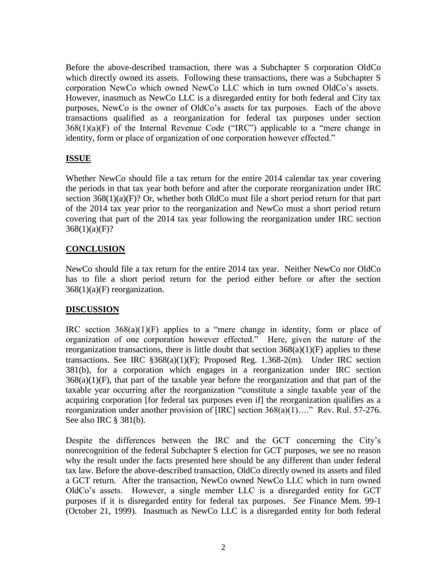Before the above-described transaction, there was a Subchapter S corporation OldCo which directly owned its assets. Following these transactions, there was a Subchapter S corporation NewCo which owned NewCo LLC which in turn owned OldCo's assets. However, inasmuch as NewCo LLC is a disregarded entity for both federal and City tax purposes, NewCo is the owner of OldCo's assets for tax purposes. Each of the above transactions qualified as a reorganization for federal tax purposes under section  $368(1)(a)(F)$  of the Internal Revenue Code ("IRC") applicable to a "mere change in identity, form or place of organization of one corporation however effected."

## **ISSUE**

Whether NewCo should file a tax return for the entire 2014 calendar tax year covering the periods in that tax year both before and after the corporate reorganization under IRC section  $368(1)(a)(F)$ ? Or, whether both OldCo must file a short period return for that part of the 2014 tax year prior to the reorganization and NewCo must a short period return covering that part of the 2014 tax year following the reorganization under IRC section  $368(1)(a)(F)?$ 

## **CONCLUSION**

NewCo should file a tax return for the entire 2014 tax year. Neither NewCo nor OldCo has to file a short period return for the period either before or after the section  $368(1)(a)$ (F) reorganization.

## **DISCUSSION**

IRC section  $368(a)(1)(F)$  applies to a "mere change in identity, form or place of organization of one corporation however effected." Here, given the nature of the reorganization transactions, there is little doubt that section  $368(a)(1)(F)$  applies to these transactions. See IRC §368(a)(1)(F); Proposed Reg. 1.368-2(m). Under IRC section 381(b), for a corporation which engages in a reorganization under IRC section  $368(a)(1)(F)$ , that part of the taxable year before the reorganization and that part of the taxable year occurring after the reorganization "constitute a single taxable year of the acquiring corporation [for federal tax purposes even if] the reorganization qualifies as a reorganization under another provision of [IRC] section 368(a)(1)…." Rev. Rul. 57-276. See also IRC § 381(b).

Despite the differences between the IRC and the GCT concerning the City's nonrecognition of the federal Subchapter S election for GCT purposes, we see no reason why the result under the facts presented here should be any different than under federal tax law. Before the above-described transaction, OldCo directly owned its assets and filed a GCT return. After the transaction, NewCo owned NewCo LLC which in turn owned OldCo's assets. However, a single member LLC is a disregarded entity for GCT purposes if it is disregarded entity for federal tax purposes. *See* Finance Mem. 99-1 (October 21, 1999). Inasmuch as NewCo LLC is a disregarded entity for both federal